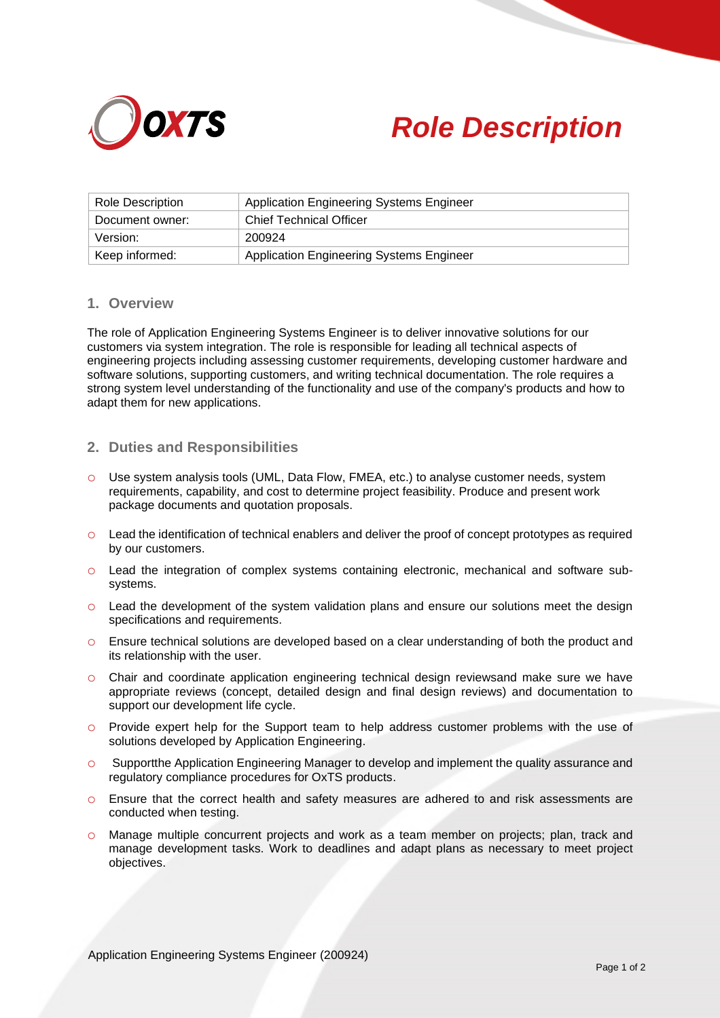



| <b>Role Description</b> | Application Engineering Systems Engineer        |
|-------------------------|-------------------------------------------------|
| Document owner:         | <b>Chief Technical Officer</b>                  |
| Version:                | 200924                                          |
| Keep informed:          | <b>Application Engineering Systems Engineer</b> |

## **1. Overview**

The role of Application Engineering Systems Engineer is to deliver innovative solutions for our customers via system integration. The role is responsible for leading all technical aspects of engineering projects including assessing customer requirements, developing customer hardware and software solutions, supporting customers, and writing technical documentation. The role requires a strong system level understanding of the functionality and use of the company's products and how to adapt them for new applications.

## **2. Duties and Responsibilities**

- o Use system analysis tools (UML, Data Flow, FMEA, etc.) to analyse customer needs, system requirements, capability, and cost to determine project feasibility. Produce and present work package documents and quotation proposals.
- o Lead the identification of technical enablers and deliver the proof of concept prototypes as required by our customers.
- o Lead the integration of complex systems containing electronic, mechanical and software subsystems.
- o Lead the development of the system validation plans and ensure our solutions meet the design specifications and requirements.
- o Ensure technical solutions are developed based on a clear understanding of both the product and its relationship with the user.
- o Chair and coordinate application engineering technical design reviewsand make sure we have appropriate reviews (concept, detailed design and final design reviews) and documentation to support our development life cycle.
- o Provide expert help for the Support team to help address customer problems with the use of solutions developed by Application Engineering.
- o Supportthe Application Engineering Manager to develop and implement the quality assurance and regulatory compliance procedures for OxTS products.
- o Ensure that the correct health and safety measures are adhered to and risk assessments are conducted when testing.
- Manage multiple concurrent projects and work as a team member on projects; plan, track and manage development tasks. Work to deadlines and adapt plans as necessary to meet project objectives.